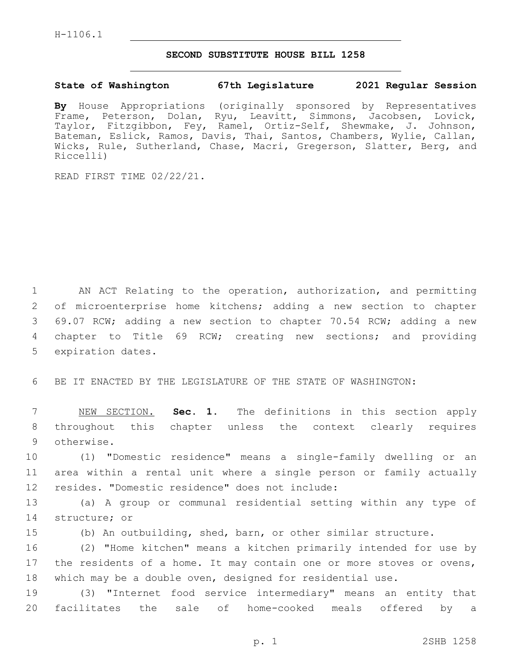## **SECOND SUBSTITUTE HOUSE BILL 1258**

## **State of Washington 67th Legislature 2021 Regular Session**

**By** House Appropriations (originally sponsored by Representatives Frame, Peterson, Dolan, Ryu, Leavitt, Simmons, Jacobsen, Lovick, Taylor, Fitzgibbon, Fey, Ramel, Ortiz-Self, Shewmake, J. Johnson, Bateman, Eslick, Ramos, Davis, Thai, Santos, Chambers, Wylie, Callan, Wicks, Rule, Sutherland, Chase, Macri, Gregerson, Slatter, Berg, and Riccelli)

READ FIRST TIME 02/22/21.

 AN ACT Relating to the operation, authorization, and permitting of microenterprise home kitchens; adding a new section to chapter 69.07 RCW; adding a new section to chapter 70.54 RCW; adding a new chapter to Title 69 RCW; creating new sections; and providing 5 expiration dates.

6 BE IT ENACTED BY THE LEGISLATURE OF THE STATE OF WASHINGTON:

7 NEW SECTION. **Sec. 1.** The definitions in this section apply 8 throughout this chapter unless the context clearly requires 9 otherwise.

10 (1) "Domestic residence" means a single-family dwelling or an 11 area within a rental unit where a single person or family actually 12 resides. "Domestic residence" does not include:

13 (a) A group or communal residential setting within any type of 14 structure; or

15 (b) An outbuilding, shed, barn, or other similar structure.

16 (2) "Home kitchen" means a kitchen primarily intended for use by 17 the residents of a home. It may contain one or more stoves or ovens, 18 which may be a double oven, designed for residential use.

19 (3) "Internet food service intermediary" means an entity that 20 facilitates the sale of home-cooked meals offered by a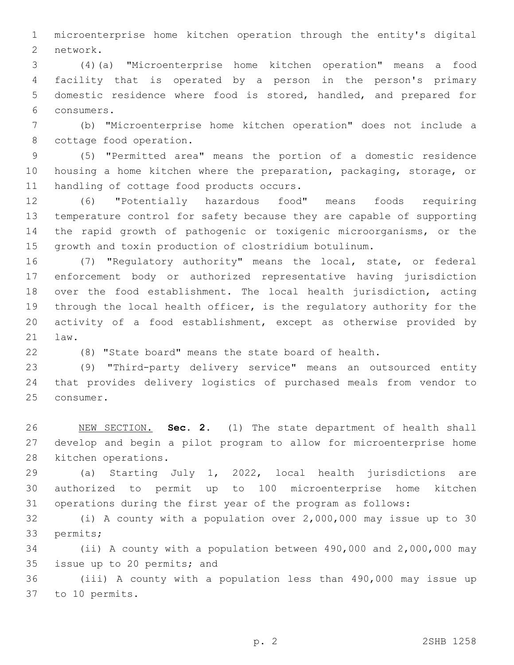microenterprise home kitchen operation through the entity's digital 2 network.

 (4)(a) "Microenterprise home kitchen operation" means a food facility that is operated by a person in the person's primary domestic residence where food is stored, handled, and prepared for consumers.6

 (b) "Microenterprise home kitchen operation" does not include a 8 cottage food operation.

 (5) "Permitted area" means the portion of a domestic residence housing a home kitchen where the preparation, packaging, storage, or 11 handling of cottage food products occurs.

 (6) "Potentially hazardous food" means foods requiring temperature control for safety because they are capable of supporting the rapid growth of pathogenic or toxigenic microorganisms, or the growth and toxin production of clostridium botulinum.

 (7) "Regulatory authority" means the local, state, or federal enforcement body or authorized representative having jurisdiction over the food establishment. The local health jurisdiction, acting through the local health officer, is the regulatory authority for the activity of a food establishment, except as otherwise provided by 21 law.

(8) "State board" means the state board of health.

 (9) "Third-party delivery service" means an outsourced entity that provides delivery logistics of purchased meals from vendor to 25 consumer.

 NEW SECTION. **Sec. 2.** (1) The state department of health shall develop and begin a pilot program to allow for microenterprise home kitchen operations.

 (a) Starting July 1, 2022, local health jurisdictions are authorized to permit up to 100 microenterprise home kitchen operations during the first year of the program as follows:

 (i) A county with a population over 2,000,000 may issue up to 30 33 permits;

 (ii) A county with a population between 490,000 and 2,000,000 may 35 issue up to 20 permits; and

 (iii) A county with a population less than 490,000 may issue up 37 to 10 permits.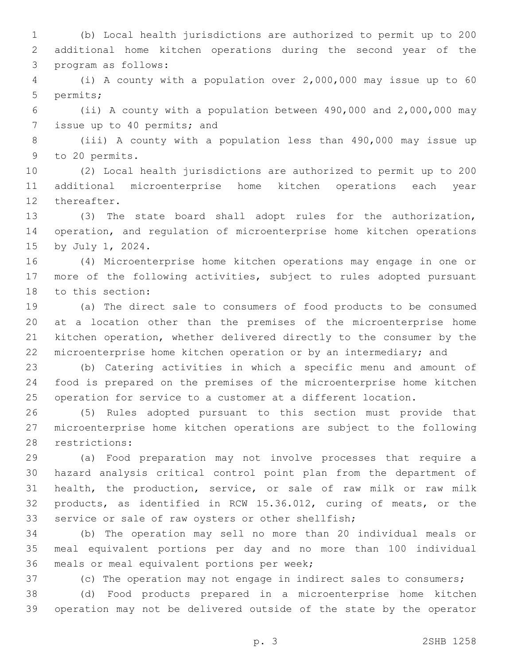(b) Local health jurisdictions are authorized to permit up to 200 additional home kitchen operations during the second year of the 3 program as follows:

 (i) A county with a population over 2,000,000 may issue up to 60 5 permits;

 (ii) A county with a population between 490,000 and 2,000,000 may 7 issue up to 40 permits; and

 (iii) A county with a population less than 490,000 may issue up 9 to 20 permits.

 (2) Local health jurisdictions are authorized to permit up to 200 additional microenterprise home kitchen operations each year 12 thereafter.

 (3) The state board shall adopt rules for the authorization, operation, and regulation of microenterprise home kitchen operations 15 by July 1, 2024.

 (4) Microenterprise home kitchen operations may engage in one or more of the following activities, subject to rules adopted pursuant 18 to this section:

 (a) The direct sale to consumers of food products to be consumed at a location other than the premises of the microenterprise home kitchen operation, whether delivered directly to the consumer by the 22 microenterprise home kitchen operation or by an intermediary; and

 (b) Catering activities in which a specific menu and amount of food is prepared on the premises of the microenterprise home kitchen operation for service to a customer at a different location.

 (5) Rules adopted pursuant to this section must provide that microenterprise home kitchen operations are subject to the following 28 restrictions:

 (a) Food preparation may not involve processes that require a hazard analysis critical control point plan from the department of health, the production, service, or sale of raw milk or raw milk products, as identified in RCW 15.36.012, curing of meats, or the service or sale of raw oysters or other shellfish;

 (b) The operation may sell no more than 20 individual meals or meal equivalent portions per day and no more than 100 individual 36 meals or meal equivalent portions per week;

(c) The operation may not engage in indirect sales to consumers;

 (d) Food products prepared in a microenterprise home kitchen operation may not be delivered outside of the state by the operator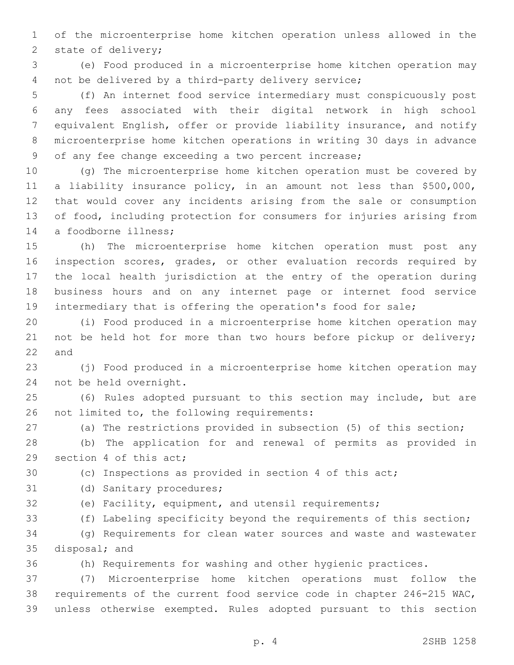of the microenterprise home kitchen operation unless allowed in the 2 state of delivery;

 (e) Food produced in a microenterprise home kitchen operation may not be delivered by a third-party delivery service;

 (f) An internet food service intermediary must conspicuously post any fees associated with their digital network in high school equivalent English, offer or provide liability insurance, and notify microenterprise home kitchen operations in writing 30 days in advance of any fee change exceeding a two percent increase;

 (g) The microenterprise home kitchen operation must be covered by a liability insurance policy, in an amount not less than \$500,000, that would cover any incidents arising from the sale or consumption of food, including protection for consumers for injuries arising from 14 a foodborne illness;

 (h) The microenterprise home kitchen operation must post any inspection scores, grades, or other evaluation records required by the local health jurisdiction at the entry of the operation during business hours and on any internet page or internet food service intermediary that is offering the operation's food for sale;

 (i) Food produced in a microenterprise home kitchen operation may 21 not be held hot for more than two hours before pickup or delivery; and

 (j) Food produced in a microenterprise home kitchen operation may 24 not be held overnight.

 (6) Rules adopted pursuant to this section may include, but are 26 not limited to, the following requirements:

(a) The restrictions provided in subsection (5) of this section;

 (b) The application for and renewal of permits as provided in 29 section 4 of this act;

(c) Inspections as provided in section 4 of this act;

- 31 (d) Sanitary procedures;
- 

(e) Facility, equipment, and utensil requirements;

(f) Labeling specificity beyond the requirements of this section;

 (g) Requirements for clean water sources and waste and wastewater 35 disposal; and

(h) Requirements for washing and other hygienic practices.

 (7) Microenterprise home kitchen operations must follow the requirements of the current food service code in chapter 246-215 WAC, unless otherwise exempted. Rules adopted pursuant to this section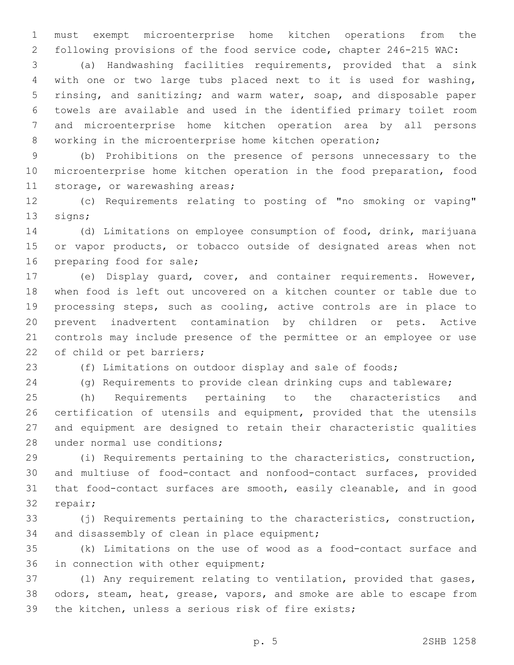must exempt microenterprise home kitchen operations from the following provisions of the food service code, chapter 246-215 WAC:

 (a) Handwashing facilities requirements, provided that a sink with one or two large tubs placed next to it is used for washing, rinsing, and sanitizing; and warm water, soap, and disposable paper towels are available and used in the identified primary toilet room and microenterprise home kitchen operation area by all persons working in the microenterprise home kitchen operation;

 (b) Prohibitions on the presence of persons unnecessary to the microenterprise home kitchen operation in the food preparation, food 11 storage, or warewashing areas;

 (c) Requirements relating to posting of "no smoking or vaping" 13 signs;

 (d) Limitations on employee consumption of food, drink, marijuana 15 or vapor products, or tobacco outside of designated areas when not 16 preparing food for sale;

 (e) Display guard, cover, and container requirements. However, when food is left out uncovered on a kitchen counter or table due to processing steps, such as cooling, active controls are in place to prevent inadvertent contamination by children or pets. Active controls may include presence of the permittee or an employee or use 22 of child or pet barriers;

(f) Limitations on outdoor display and sale of foods;

(g) Requirements to provide clean drinking cups and tableware;

 (h) Requirements pertaining to the characteristics and certification of utensils and equipment, provided that the utensils and equipment are designed to retain their characteristic qualities 28 under normal use conditions;

 (i) Requirements pertaining to the characteristics, construction, and multiuse of food-contact and nonfood-contact surfaces, provided that food-contact surfaces are smooth, easily cleanable, and in good 32 repair;

 (j) Requirements pertaining to the characteristics, construction, 34 and disassembly of clean in place equipment;

 (k) Limitations on the use of wood as a food-contact surface and 36 in connection with other equipment;

 (l) Any requirement relating to ventilation, provided that gases, odors, steam, heat, grease, vapors, and smoke are able to escape from the kitchen, unless a serious risk of fire exists;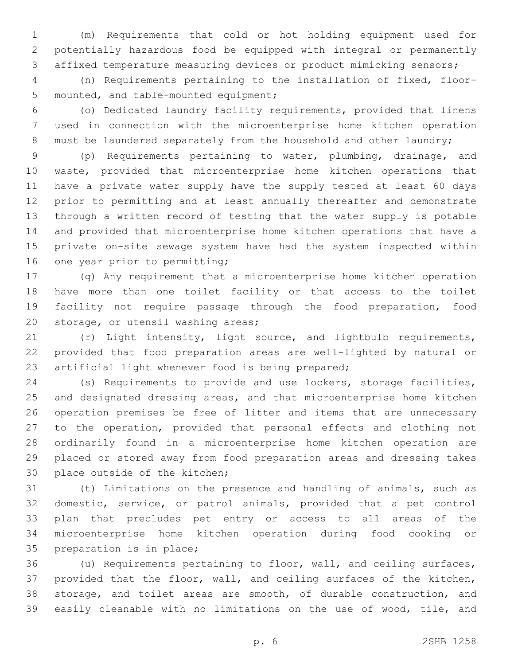(m) Requirements that cold or hot holding equipment used for potentially hazardous food be equipped with integral or permanently affixed temperature measuring devices or product mimicking sensors;

 (n) Requirements pertaining to the installation of fixed, floor-5 mounted, and table-mounted equipment;

 (o) Dedicated laundry facility requirements, provided that linens used in connection with the microenterprise home kitchen operation 8 must be laundered separately from the household and other laundry;

 (p) Requirements pertaining to water, plumbing, drainage, and waste, provided that microenterprise home kitchen operations that have a private water supply have the supply tested at least 60 days prior to permitting and at least annually thereafter and demonstrate through a written record of testing that the water supply is potable and provided that microenterprise home kitchen operations that have a private on-site sewage system have had the system inspected within 16 one year prior to permitting;

 (q) Any requirement that a microenterprise home kitchen operation have more than one toilet facility or that access to the toilet facility not require passage through the food preparation, food 20 storage, or utensil washing areas;

 (r) Light intensity, light source, and lightbulb requirements, provided that food preparation areas are well-lighted by natural or 23 artificial light whenever food is being prepared;

 (s) Requirements to provide and use lockers, storage facilities, and designated dressing areas, and that microenterprise home kitchen operation premises be free of litter and items that are unnecessary to the operation, provided that personal effects and clothing not ordinarily found in a microenterprise home kitchen operation are placed or stored away from food preparation areas and dressing takes 30 place outside of the kitchen;

 (t) Limitations on the presence and handling of animals, such as domestic, service, or patrol animals, provided that a pet control plan that precludes pet entry or access to all areas of the microenterprise home kitchen operation during food cooking or 35 preparation is in place;

 (u) Requirements pertaining to floor, wall, and ceiling surfaces, provided that the floor, wall, and ceiling surfaces of the kitchen, storage, and toilet areas are smooth, of durable construction, and easily cleanable with no limitations on the use of wood, tile, and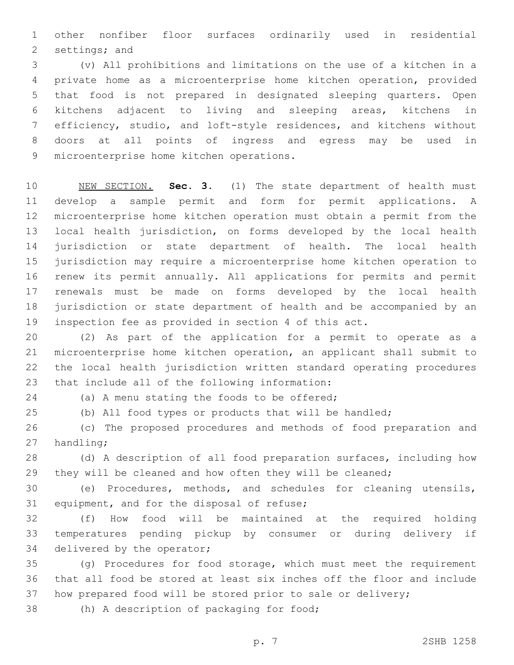other nonfiber floor surfaces ordinarily used in residential 2 settings; and

 (v) All prohibitions and limitations on the use of a kitchen in a private home as a microenterprise home kitchen operation, provided that food is not prepared in designated sleeping quarters. Open kitchens adjacent to living and sleeping areas, kitchens in efficiency, studio, and loft-style residences, and kitchens without doors at all points of ingress and egress may be used in 9 microenterprise home kitchen operations.

 NEW SECTION. **Sec. 3.** (1) The state department of health must develop a sample permit and form for permit applications. A microenterprise home kitchen operation must obtain a permit from the local health jurisdiction, on forms developed by the local health jurisdiction or state department of health. The local health jurisdiction may require a microenterprise home kitchen operation to renew its permit annually. All applications for permits and permit renewals must be made on forms developed by the local health jurisdiction or state department of health and be accompanied by an inspection fee as provided in section 4 of this act.

 (2) As part of the application for a permit to operate as a microenterprise home kitchen operation, an applicant shall submit to the local health jurisdiction written standard operating procedures 23 that include all of the following information:

24 (a) A menu stating the foods to be offered;

(b) All food types or products that will be handled;

 (c) The proposed procedures and methods of food preparation and 27 handling;

 (d) A description of all food preparation surfaces, including how 29 they will be cleaned and how often they will be cleaned;

 (e) Procedures, methods, and schedules for cleaning utensils, 31 equipment, and for the disposal of refuse;

 (f) How food will be maintained at the required holding temperatures pending pickup by consumer or during delivery if 34 delivered by the operator;

 (g) Procedures for food storage, which must meet the requirement that all food be stored at least six inches off the floor and include how prepared food will be stored prior to sale or delivery;

38 (h) A description of packaging for food;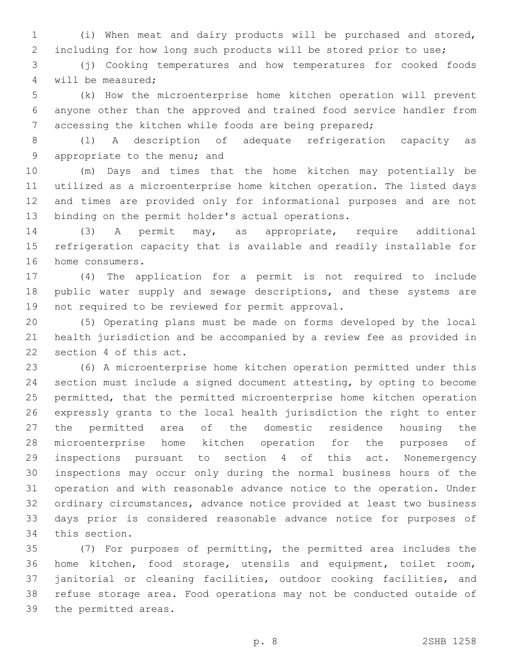(i) When meat and dairy products will be purchased and stored, including for how long such products will be stored prior to use;

 (j) Cooking temperatures and how temperatures for cooked foods 4 will be measured;

 (k) How the microenterprise home kitchen operation will prevent anyone other than the approved and trained food service handler from accessing the kitchen while foods are being prepared;

 (l) A description of adequate refrigeration capacity as 9 appropriate to the menu; and

 (m) Days and times that the home kitchen may potentially be utilized as a microenterprise home kitchen operation. The listed days and times are provided only for informational purposes and are not 13 binding on the permit holder's actual operations.

 (3) A permit may, as appropriate, require additional refrigeration capacity that is available and readily installable for 16 home consumers.

 (4) The application for a permit is not required to include 18 public water supply and sewage descriptions, and these systems are 19 not required to be reviewed for permit approval.

 (5) Operating plans must be made on forms developed by the local health jurisdiction and be accompanied by a review fee as provided in 22 section 4 of this act.

 (6) A microenterprise home kitchen operation permitted under this section must include a signed document attesting, by opting to become permitted, that the permitted microenterprise home kitchen operation expressly grants to the local health jurisdiction the right to enter the permitted area of the domestic residence housing the microenterprise home kitchen operation for the purposes of inspections pursuant to section 4 of this act. Nonemergency inspections may occur only during the normal business hours of the operation and with reasonable advance notice to the operation. Under ordinary circumstances, advance notice provided at least two business days prior is considered reasonable advance notice for purposes of 34 this section.

 (7) For purposes of permitting, the permitted area includes the home kitchen, food storage, utensils and equipment, toilet room, janitorial or cleaning facilities, outdoor cooking facilities, and refuse storage area. Food operations may not be conducted outside of 39 the permitted areas.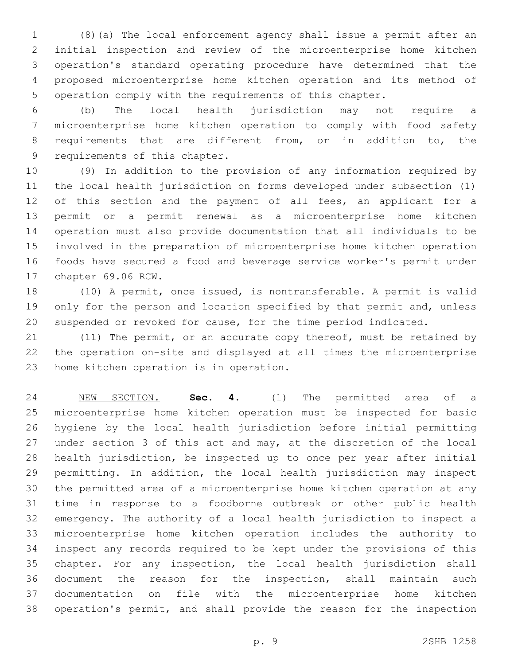(8)(a) The local enforcement agency shall issue a permit after an initial inspection and review of the microenterprise home kitchen operation's standard operating procedure have determined that the proposed microenterprise home kitchen operation and its method of operation comply with the requirements of this chapter.

 (b) The local health jurisdiction may not require a microenterprise home kitchen operation to comply with food safety 8 requirements that are different from, or in addition to, the 9 requirements of this chapter.

 (9) In addition to the provision of any information required by the local health jurisdiction on forms developed under subsection (1) 12 of this section and the payment of all fees, an applicant for a permit or a permit renewal as a microenterprise home kitchen operation must also provide documentation that all individuals to be involved in the preparation of microenterprise home kitchen operation foods have secured a food and beverage service worker's permit under 17 chapter 69.06 RCW.

 (10) A permit, once issued, is nontransferable. A permit is valid 19 only for the person and location specified by that permit and, unless suspended or revoked for cause, for the time period indicated.

21 (11) The permit, or an accurate copy thereof, must be retained by the operation on-site and displayed at all times the microenterprise 23 home kitchen operation is in operation.

 NEW SECTION. **Sec. 4.** (1) The permitted area of a microenterprise home kitchen operation must be inspected for basic hygiene by the local health jurisdiction before initial permitting under section 3 of this act and may, at the discretion of the local health jurisdiction, be inspected up to once per year after initial permitting. In addition, the local health jurisdiction may inspect the permitted area of a microenterprise home kitchen operation at any time in response to a foodborne outbreak or other public health emergency. The authority of a local health jurisdiction to inspect a microenterprise home kitchen operation includes the authority to inspect any records required to be kept under the provisions of this chapter. For any inspection, the local health jurisdiction shall document the reason for the inspection, shall maintain such documentation on file with the microenterprise home kitchen operation's permit, and shall provide the reason for the inspection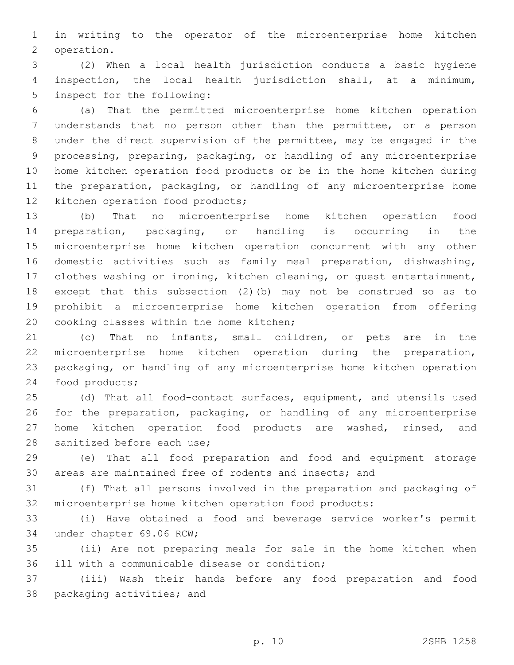in writing to the operator of the microenterprise home kitchen 2 operation.

 (2) When a local health jurisdiction conducts a basic hygiene inspection, the local health jurisdiction shall, at a minimum, 5 inspect for the following:

 (a) That the permitted microenterprise home kitchen operation understands that no person other than the permittee, or a person under the direct supervision of the permittee, may be engaged in the processing, preparing, packaging, or handling of any microenterprise home kitchen operation food products or be in the home kitchen during the preparation, packaging, or handling of any microenterprise home 12 kitchen operation food products;

 (b) That no microenterprise home kitchen operation food preparation, packaging, or handling is occurring in the microenterprise home kitchen operation concurrent with any other domestic activities such as family meal preparation, dishwashing, clothes washing or ironing, kitchen cleaning, or guest entertainment, except that this subsection (2)(b) may not be construed so as to prohibit a microenterprise home kitchen operation from offering 20 cooking classes within the home kitchen;

 (c) That no infants, small children, or pets are in the microenterprise home kitchen operation during the preparation, packaging, or handling of any microenterprise home kitchen operation 24 food products;

 (d) That all food-contact surfaces, equipment, and utensils used for the preparation, packaging, or handling of any microenterprise 27 home kitchen operation food products are washed, rinsed, and 28 sanitized before each use;

 (e) That all food preparation and food and equipment storage areas are maintained free of rodents and insects; and

 (f) That all persons involved in the preparation and packaging of microenterprise home kitchen operation food products:

 (i) Have obtained a food and beverage service worker's permit 34 under chapter 69.06 RCW;

 (ii) Are not preparing meals for sale in the home kitchen when 36 ill with a communicable disease or condition;

 (iii) Wash their hands before any food preparation and food 38 packaging activities; and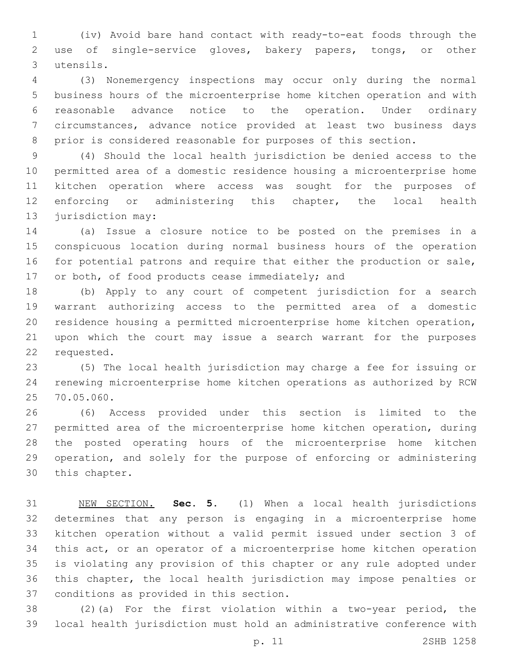(iv) Avoid bare hand contact with ready-to-eat foods through the use of single-service gloves, bakery papers, tongs, or other utensils.3

 (3) Nonemergency inspections may occur only during the normal business hours of the microenterprise home kitchen operation and with reasonable advance notice to the operation. Under ordinary circumstances, advance notice provided at least two business days prior is considered reasonable for purposes of this section.

 (4) Should the local health jurisdiction be denied access to the permitted area of a domestic residence housing a microenterprise home kitchen operation where access was sought for the purposes of enforcing or administering this chapter, the local health 13 jurisdiction may:

 (a) Issue a closure notice to be posted on the premises in a conspicuous location during normal business hours of the operation for potential patrons and require that either the production or sale, 17 or both, of food products cease immediately; and

 (b) Apply to any court of competent jurisdiction for a search warrant authorizing access to the permitted area of a domestic residence housing a permitted microenterprise home kitchen operation, upon which the court may issue a search warrant for the purposes 22 requested.

 (5) The local health jurisdiction may charge a fee for issuing or renewing microenterprise home kitchen operations as authorized by RCW 25 70.05.060.

 (6) Access provided under this section is limited to the permitted area of the microenterprise home kitchen operation, during the posted operating hours of the microenterprise home kitchen operation, and solely for the purpose of enforcing or administering 30 this chapter.

 NEW SECTION. **Sec. 5.** (1) When a local health jurisdictions determines that any person is engaging in a microenterprise home kitchen operation without a valid permit issued under section 3 of this act, or an operator of a microenterprise home kitchen operation is violating any provision of this chapter or any rule adopted under this chapter, the local health jurisdiction may impose penalties or conditions as provided in this section.

 (2)(a) For the first violation within a two-year period, the local health jurisdiction must hold an administrative conference with

p. 11 2SHB 1258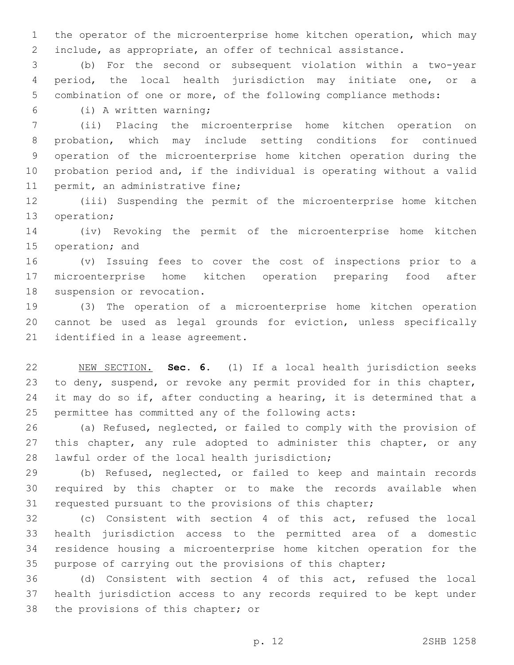the operator of the microenterprise home kitchen operation, which may include, as appropriate, an offer of technical assistance.

 (b) For the second or subsequent violation within a two-year period, the local health jurisdiction may initiate one, or a combination of one or more, of the following compliance methods:

(i) A written warning;6

 (ii) Placing the microenterprise home kitchen operation on probation, which may include setting conditions for continued operation of the microenterprise home kitchen operation during the probation period and, if the individual is operating without a valid 11 permit, an administrative fine;

 (iii) Suspending the permit of the microenterprise home kitchen 13 operation;

 (iv) Revoking the permit of the microenterprise home kitchen 15 operation; and

 (v) Issuing fees to cover the cost of inspections prior to a microenterprise home kitchen operation preparing food after 18 suspension or revocation.

 (3) The operation of a microenterprise home kitchen operation cannot be used as legal grounds for eviction, unless specifically 21 identified in a lease agreement.

 NEW SECTION. **Sec. 6.** (1) If a local health jurisdiction seeks to deny, suspend, or revoke any permit provided for in this chapter, 24 it may do so if, after conducting a hearing, it is determined that a permittee has committed any of the following acts:

 (a) Refused, neglected, or failed to comply with the provision of 27 this chapter, any rule adopted to administer this chapter, or any 28 lawful order of the local health jurisdiction;

 (b) Refused, neglected, or failed to keep and maintain records required by this chapter or to make the records available when requested pursuant to the provisions of this chapter;

 (c) Consistent with section 4 of this act, refused the local health jurisdiction access to the permitted area of a domestic residence housing a microenterprise home kitchen operation for the purpose of carrying out the provisions of this chapter;

 (d) Consistent with section 4 of this act, refused the local health jurisdiction access to any records required to be kept under 38 the provisions of this chapter; or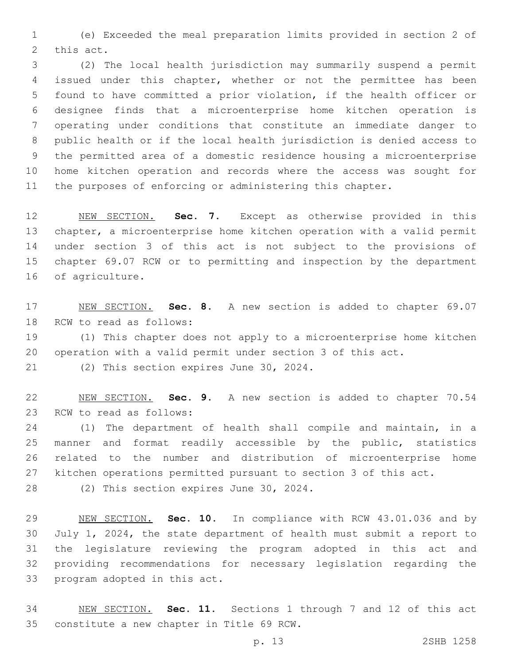(e) Exceeded the meal preparation limits provided in section 2 of 2 this act.

 (2) The local health jurisdiction may summarily suspend a permit issued under this chapter, whether or not the permittee has been found to have committed a prior violation, if the health officer or designee finds that a microenterprise home kitchen operation is operating under conditions that constitute an immediate danger to public health or if the local health jurisdiction is denied access to the permitted area of a domestic residence housing a microenterprise home kitchen operation and records where the access was sought for the purposes of enforcing or administering this chapter.

 NEW SECTION. **Sec. 7.** Except as otherwise provided in this chapter, a microenterprise home kitchen operation with a valid permit under section 3 of this act is not subject to the provisions of chapter 69.07 RCW or to permitting and inspection by the department of agriculture.

 NEW SECTION. **Sec. 8.** A new section is added to chapter 69.07 18 RCW to read as follows:

 (1) This chapter does not apply to a microenterprise home kitchen operation with a valid permit under section 3 of this act.

21 (2) This section expires June 30, 2024.

 NEW SECTION. **Sec. 9.** A new section is added to chapter 70.54 23 RCW to read as follows:

 (1) The department of health shall compile and maintain, in a manner and format readily accessible by the public, statistics related to the number and distribution of microenterprise home kitchen operations permitted pursuant to section 3 of this act.

28 (2) This section expires June 30, 2024.

 NEW SECTION. **Sec. 10.** In compliance with RCW 43.01.036 and by July 1, 2024, the state department of health must submit a report to the legislature reviewing the program adopted in this act and providing recommendations for necessary legislation regarding the program adopted in this act.

 NEW SECTION. **Sec. 11.** Sections 1 through 7 and 12 of this act constitute a new chapter in Title 69 RCW.